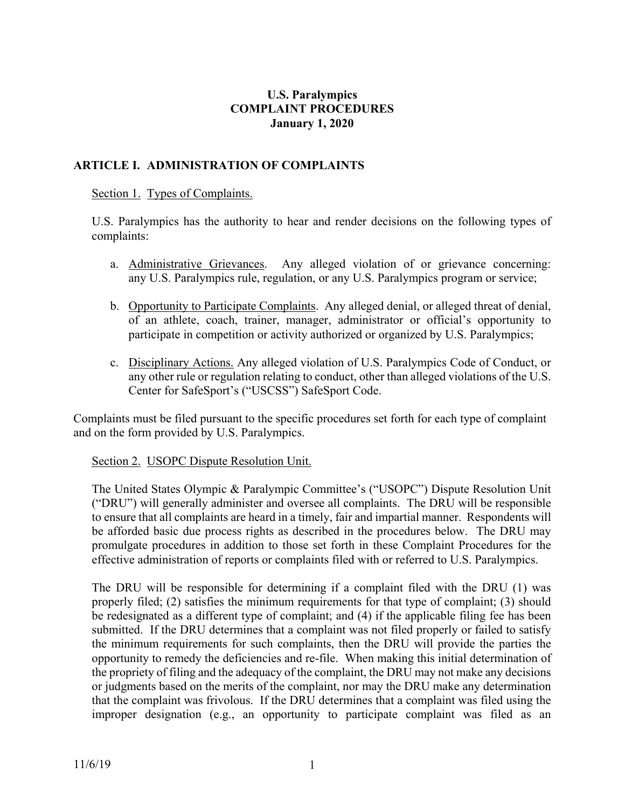## **U.S. Paralympics COMPLAINT PROCEDURES January 1, 2020**

## **ARTICLE I. ADMINISTRATION OF COMPLAINTS**

## Section 1. Types of Complaints.

U.S. Paralympics has the authority to hear and render decisions on the following types of complaints:

- a. Administrative Grievances. Any alleged violation of or grievance concerning: any U.S. Paralympics rule, regulation, or any U.S. Paralympics program or service;
- b. Opportunity to Participate Complaints. Any alleged denial, or alleged threat of denial, of an athlete, coach, trainer, manager, administrator or official's opportunity to participate in competition or activity authorized or organized by U.S. Paralympics;
- c. Disciplinary Actions. Any alleged violation of U.S. Paralympics Code of Conduct, or any other rule or regulation relating to conduct, other than alleged violations of the U.S. Center for SafeSport's ("USCSS") SafeSport Code.

Complaints must be filed pursuant to the specific procedures set forth for each type of complaint and on the form provided by U.S. Paralympics.

#### Section 2. USOPC Dispute Resolution Unit.

The United States Olympic & Paralympic Committee's ("USOPC") Dispute Resolution Unit ("DRU") will generally administer and oversee all complaints. The DRU will be responsible to ensure that all complaints are heard in a timely, fair and impartial manner. Respondents will be afforded basic due process rights as described in the procedures below. The DRU may promulgate procedures in addition to those set forth in these Complaint Procedures for the effective administration of reports or complaints filed with or referred to U.S. Paralympics.

The DRU will be responsible for determining if a complaint filed with the DRU (1) was properly filed; (2) satisfies the minimum requirements for that type of complaint; (3) should be redesignated as a different type of complaint; and (4) if the applicable filing fee has been submitted. If the DRU determines that a complaint was not filed properly or failed to satisfy the minimum requirements for such complaints, then the DRU will provide the parties the opportunity to remedy the deficiencies and re-file. When making this initial determination of the propriety of filing and the adequacy of the complaint, the DRU may not make any decisions or judgments based on the merits of the complaint, nor may the DRU make any determination that the complaint was frivolous. If the DRU determines that a complaint was filed using the improper designation (e.g., an opportunity to participate complaint was filed as an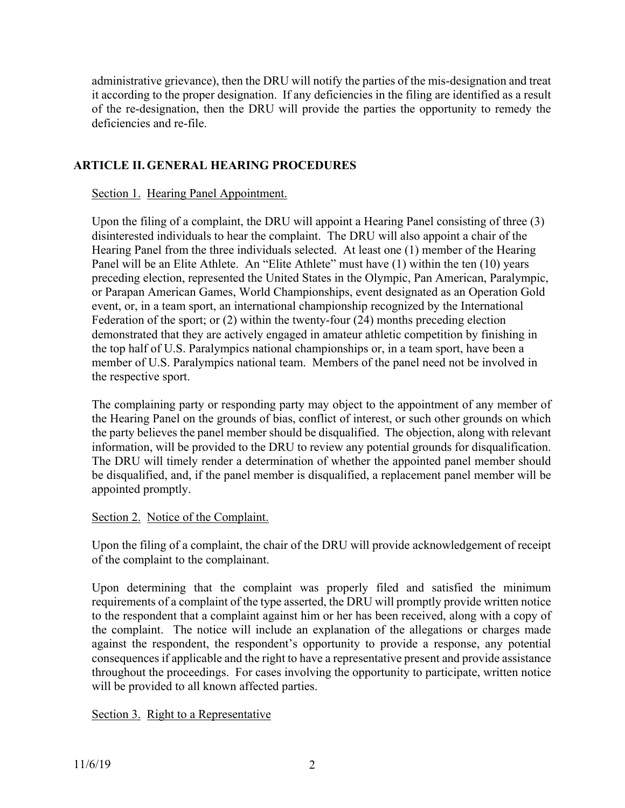administrative grievance), then the DRU will notify the parties of the mis-designation and treat it according to the proper designation. If any deficiencies in the filing are identified as a result of the re-designation, then the DRU will provide the parties the opportunity to remedy the deficiencies and re-file.

## **ARTICLE II. GENERAL HEARING PROCEDURES**

## Section 1. Hearing Panel Appointment.

Upon the filing of a complaint, the DRU will appoint a Hearing Panel consisting of three (3) disinterested individuals to hear the complaint. The DRU will also appoint a chair of the Hearing Panel from the three individuals selected. At least one (1) member of the Hearing Panel will be an Elite Athlete. An "Elite Athlete" must have (1) within the ten (10) years preceding election, represented the United States in the Olympic, Pan American, Paralympic, or Parapan American Games, World Championships, event designated as an Operation Gold event, or, in a team sport, an international championship recognized by the International Federation of the sport; or (2) within the twenty-four (24) months preceding election demonstrated that they are actively engaged in amateur athletic competition by finishing in the top half of U.S. Paralympics national championships or, in a team sport, have been a member of U.S. Paralympics national team. Members of the panel need not be involved in the respective sport.

The complaining party or responding party may object to the appointment of any member of the Hearing Panel on the grounds of bias, conflict of interest, or such other grounds on which the party believes the panel member should be disqualified. The objection, along with relevant information, will be provided to the DRU to review any potential grounds for disqualification. The DRU will timely render a determination of whether the appointed panel member should be disqualified, and, if the panel member is disqualified, a replacement panel member will be appointed promptly.

#### Section 2. Notice of the Complaint.

Upon the filing of a complaint, the chair of the DRU will provide acknowledgement of receipt of the complaint to the complainant.

Upon determining that the complaint was properly filed and satisfied the minimum requirements of a complaint of the type asserted, the DRU will promptly provide written notice to the respondent that a complaint against him or her has been received, along with a copy of the complaint. The notice will include an explanation of the allegations or charges made against the respondent, the respondent's opportunity to provide a response, any potential consequences if applicable and the right to have a representative present and provide assistance throughout the proceedings. For cases involving the opportunity to participate, written notice will be provided to all known affected parties.

Section 3. Right to a Representative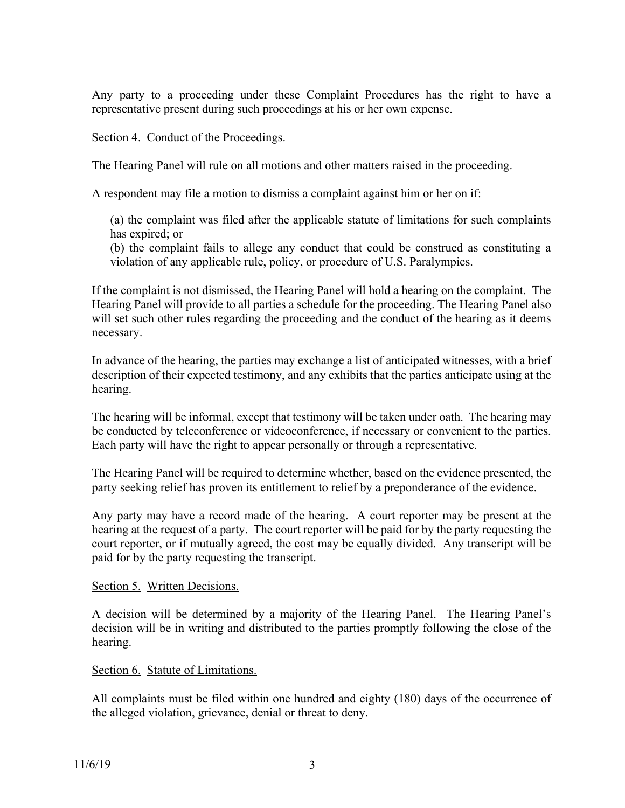Any party to a proceeding under these Complaint Procedures has the right to have a representative present during such proceedings at his or her own expense.

## Section 4. Conduct of the Proceedings.

The Hearing Panel will rule on all motions and other matters raised in the proceeding.

A respondent may file a motion to dismiss a complaint against him or her on if:

(a) the complaint was filed after the applicable statute of limitations for such complaints has expired; or

(b) the complaint fails to allege any conduct that could be construed as constituting a violation of any applicable rule, policy, or procedure of U.S. Paralympics.

If the complaint is not dismissed, the Hearing Panel will hold a hearing on the complaint. The Hearing Panel will provide to all parties a schedule for the proceeding. The Hearing Panel also will set such other rules regarding the proceeding and the conduct of the hearing as it deems necessary.

In advance of the hearing, the parties may exchange a list of anticipated witnesses, with a brief description of their expected testimony, and any exhibits that the parties anticipate using at the hearing.

The hearing will be informal, except that testimony will be taken under oath. The hearing may be conducted by teleconference or videoconference, if necessary or convenient to the parties. Each party will have the right to appear personally or through a representative.

The Hearing Panel will be required to determine whether, based on the evidence presented, the party seeking relief has proven its entitlement to relief by a preponderance of the evidence.

Any party may have a record made of the hearing. A court reporter may be present at the hearing at the request of a party. The court reporter will be paid for by the party requesting the court reporter, or if mutually agreed, the cost may be equally divided. Any transcript will be paid for by the party requesting the transcript.

#### Section 5. Written Decisions.

A decision will be determined by a majority of the Hearing Panel. The Hearing Panel's decision will be in writing and distributed to the parties promptly following the close of the hearing.

#### Section 6. Statute of Limitations.

All complaints must be filed within one hundred and eighty (180) days of the occurrence of the alleged violation, grievance, denial or threat to deny.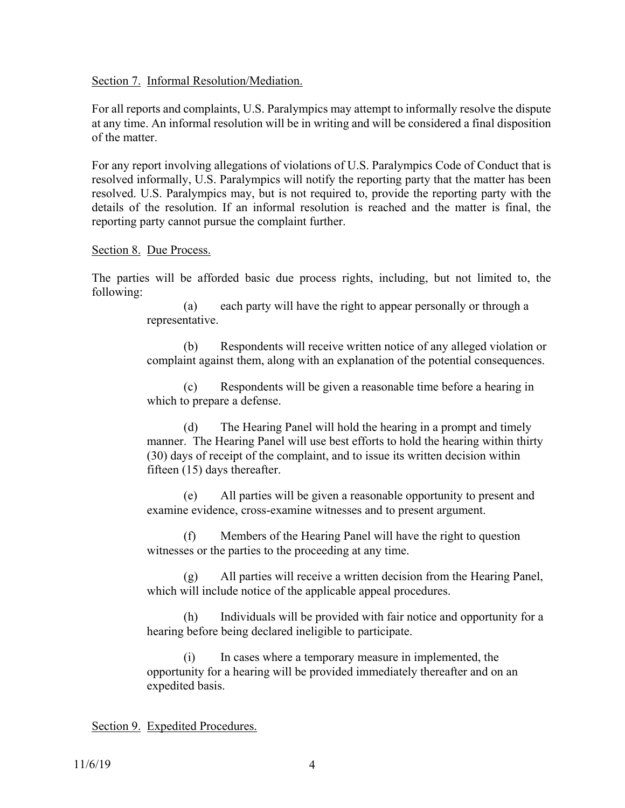Section 7. Informal Resolution/Mediation.

For all reports and complaints, U.S. Paralympics may attempt to informally resolve the dispute at any time. An informal resolution will be in writing and will be considered a final disposition of the matter.

For any report involving allegations of violations of U.S. Paralympics Code of Conduct that is resolved informally, U.S. Paralympics will notify the reporting party that the matter has been resolved. U.S. Paralympics may, but is not required to, provide the reporting party with the details of the resolution. If an informal resolution is reached and the matter is final, the reporting party cannot pursue the complaint further.

#### Section 8. Due Process.

The parties will be afforded basic due process rights, including, but not limited to, the following:

> (a) each party will have the right to appear personally or through a representative.

(b) Respondents will receive written notice of any alleged violation or complaint against them, along with an explanation of the potential consequences.

(c) Respondents will be given a reasonable time before a hearing in which to prepare a defense.

(d) The Hearing Panel will hold the hearing in a prompt and timely manner. The Hearing Panel will use best efforts to hold the hearing within thirty (30) days of receipt of the complaint, and to issue its written decision within fifteen (15) days thereafter.

(e) All parties will be given a reasonable opportunity to present and examine evidence, cross-examine witnesses and to present argument.

(f) Members of the Hearing Panel will have the right to question witnesses or the parties to the proceeding at any time.

(g) All parties will receive a written decision from the Hearing Panel, which will include notice of the applicable appeal procedures.

(h) Individuals will be provided with fair notice and opportunity for a hearing before being declared ineligible to participate.

(i) In cases where a temporary measure in implemented, the opportunity for a hearing will be provided immediately thereafter and on an expedited basis.

#### Section 9. Expedited Procedures.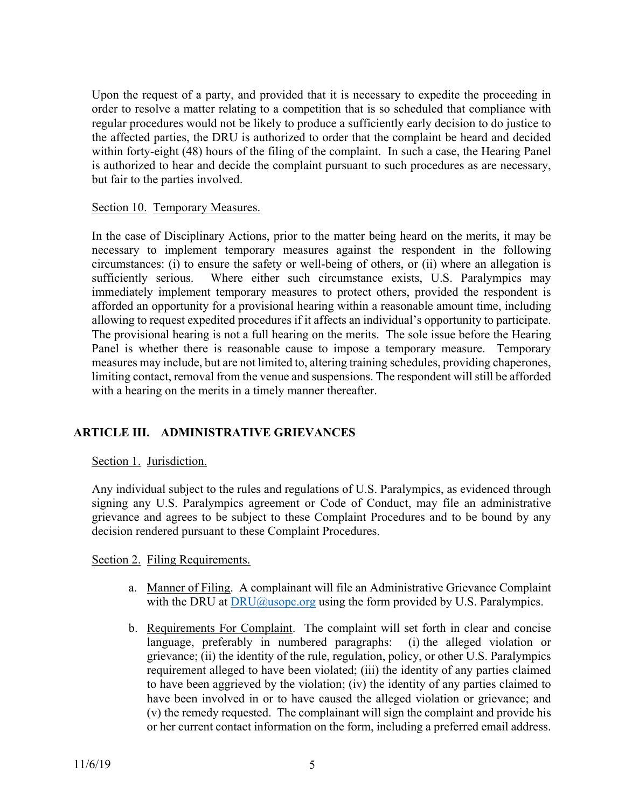Upon the request of a party, and provided that it is necessary to expedite the proceeding in order to resolve a matter relating to a competition that is so scheduled that compliance with regular procedures would not be likely to produce a sufficiently early decision to do justice to the affected parties, the DRU is authorized to order that the complaint be heard and decided within forty-eight (48) hours of the filing of the complaint. In such a case, the Hearing Panel is authorized to hear and decide the complaint pursuant to such procedures as are necessary, but fair to the parties involved.

## Section 10. Temporary Measures.

In the case of Disciplinary Actions, prior to the matter being heard on the merits, it may be necessary to implement temporary measures against the respondent in the following circumstances: (i) to ensure the safety or well-being of others, or (ii) where an allegation is sufficiently serious. Where either such circumstance exists, U.S. Paralympics may immediately implement temporary measures to protect others, provided the respondent is afforded an opportunity for a provisional hearing within a reasonable amount time, including allowing to request expedited procedures if it affects an individual's opportunity to participate. The provisional hearing is not a full hearing on the merits. The sole issue before the Hearing Panel is whether there is reasonable cause to impose a temporary measure. Temporary measures may include, but are not limited to, altering training schedules, providing chaperones, limiting contact, removal from the venue and suspensions. The respondent will still be afforded with a hearing on the merits in a timely manner thereafter.

## **ARTICLE III. ADMINISTRATIVE GRIEVANCES**

Section 1. Jurisdiction.

Any individual subject to the rules and regulations of U.S. Paralympics, as evidenced through signing any U.S. Paralympics agreement or Code of Conduct, may file an administrative grievance and agrees to be subject to these Complaint Procedures and to be bound by any decision rendered pursuant to these Complaint Procedures.

Section 2. Filing Requirements.

- a. Manner of Filing. A complainant will file an Administrative Grievance Complaint with the DRU at [DRU@usopc.org](mailto:DRU@usopc.org) using the form provided by U.S. Paralympics.
- b. Requirements For Complaint. The complaint will set forth in clear and concise language, preferably in numbered paragraphs: (i) the alleged violation or grievance; (ii) the identity of the rule, regulation, policy, or other U.S. Paralympics requirement alleged to have been violated; (iii) the identity of any parties claimed to have been aggrieved by the violation; (iv) the identity of any parties claimed to have been involved in or to have caused the alleged violation or grievance; and (v) the remedy requested. The complainant will sign the complaint and provide his or her current contact information on the form, including a preferred email address.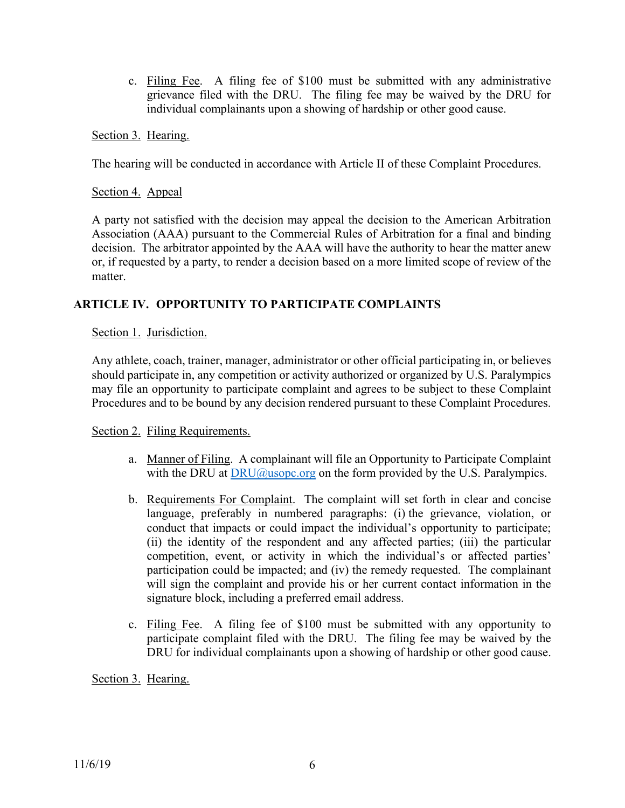c. Filing Fee. A filing fee of \$100 must be submitted with any administrative grievance filed with the DRU. The filing fee may be waived by the DRU for individual complainants upon a showing of hardship or other good cause.

Section 3. Hearing.

The hearing will be conducted in accordance with Article II of these Complaint Procedures.

Section 4. Appeal

A party not satisfied with the decision may appeal the decision to the American Arbitration Association (AAA) pursuant to the Commercial Rules of Arbitration for a final and binding decision. The arbitrator appointed by the AAA will have the authority to hear the matter anew or, if requested by a party, to render a decision based on a more limited scope of review of the matter.

## **ARTICLE IV. OPPORTUNITY TO PARTICIPATE COMPLAINTS**

Section 1. Jurisdiction.

Any athlete, coach, trainer, manager, administrator or other official participating in, or believes should participate in, any competition or activity authorized or organized by U.S. Paralympics may file an opportunity to participate complaint and agrees to be subject to these Complaint Procedures and to be bound by any decision rendered pursuant to these Complaint Procedures.

Section 2. Filing Requirements.

- a. Manner of Filing. A complainant will file an Opportunity to Participate Complaint with the DRU at  $DRU@$ usopc.org on the form provided by the U.S. Paralympics.
- b. Requirements For Complaint. The complaint will set forth in clear and concise language, preferably in numbered paragraphs: (i) the grievance, violation, or conduct that impacts or could impact the individual's opportunity to participate; (ii) the identity of the respondent and any affected parties; (iii) the particular competition, event, or activity in which the individual's or affected parties' participation could be impacted; and (iv) the remedy requested. The complainant will sign the complaint and provide his or her current contact information in the signature block, including a preferred email address.
- c. Filing Fee. A filing fee of \$100 must be submitted with any opportunity to participate complaint filed with the DRU. The filing fee may be waived by the DRU for individual complainants upon a showing of hardship or other good cause.

Section 3. Hearing.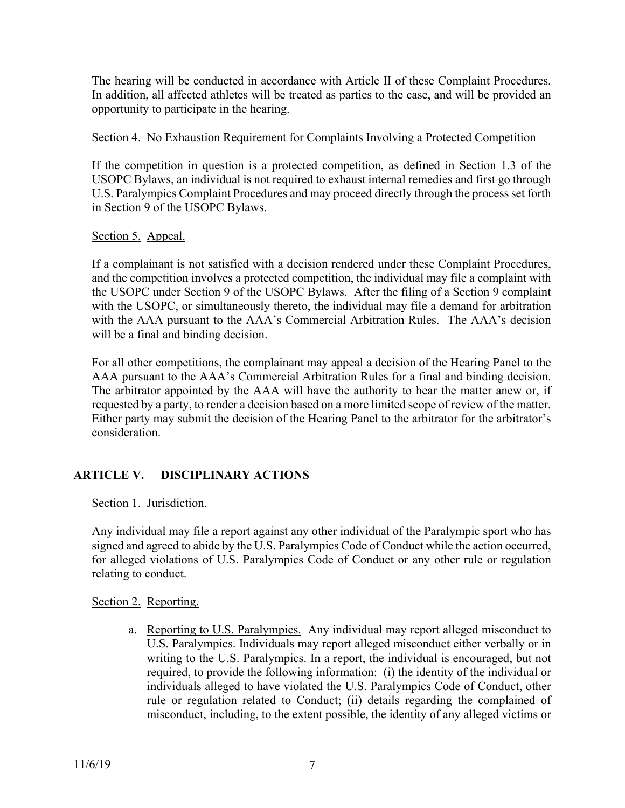The hearing will be conducted in accordance with Article II of these Complaint Procedures. In addition, all affected athletes will be treated as parties to the case, and will be provided an opportunity to participate in the hearing.

## Section 4. No Exhaustion Requirement for Complaints Involving a Protected Competition

If the competition in question is a protected competition, as defined in Section 1.3 of the USOPC Bylaws, an individual is not required to exhaust internal remedies and first go through U.S. Paralympics Complaint Procedures and may proceed directly through the process set forth in Section 9 of the USOPC Bylaws.

# Section 5. Appeal.

If a complainant is not satisfied with a decision rendered under these Complaint Procedures, and the competition involves a protected competition, the individual may file a complaint with the USOPC under Section 9 of the USOPC Bylaws. After the filing of a Section 9 complaint with the USOPC, or simultaneously thereto, the individual may file a demand for arbitration with the AAA pursuant to the AAA's Commercial Arbitration Rules. The AAA's decision will be a final and binding decision.

For all other competitions, the complainant may appeal a decision of the Hearing Panel to the AAA pursuant to the AAA's Commercial Arbitration Rules for a final and binding decision. The arbitrator appointed by the AAA will have the authority to hear the matter anew or, if requested by a party, to render a decision based on a more limited scope of review of the matter. Either party may submit the decision of the Hearing Panel to the arbitrator for the arbitrator's consideration.

# **ARTICLE V. DISCIPLINARY ACTIONS**

Section 1. Jurisdiction.

Any individual may file a report against any other individual of the Paralympic sport who has signed and agreed to abide by the U.S. Paralympics Code of Conduct while the action occurred, for alleged violations of U.S. Paralympics Code of Conduct or any other rule or regulation relating to conduct.

Section 2. Reporting.

a. Reporting to U.S. Paralympics. Any individual may report alleged misconduct to U.S. Paralympics. Individuals may report alleged misconduct either verbally or in writing to the U.S. Paralympics. In a report, the individual is encouraged, but not required, to provide the following information: (i) the identity of the individual or individuals alleged to have violated the U.S. Paralympics Code of Conduct, other rule or regulation related to Conduct; (ii) details regarding the complained of misconduct, including, to the extent possible, the identity of any alleged victims or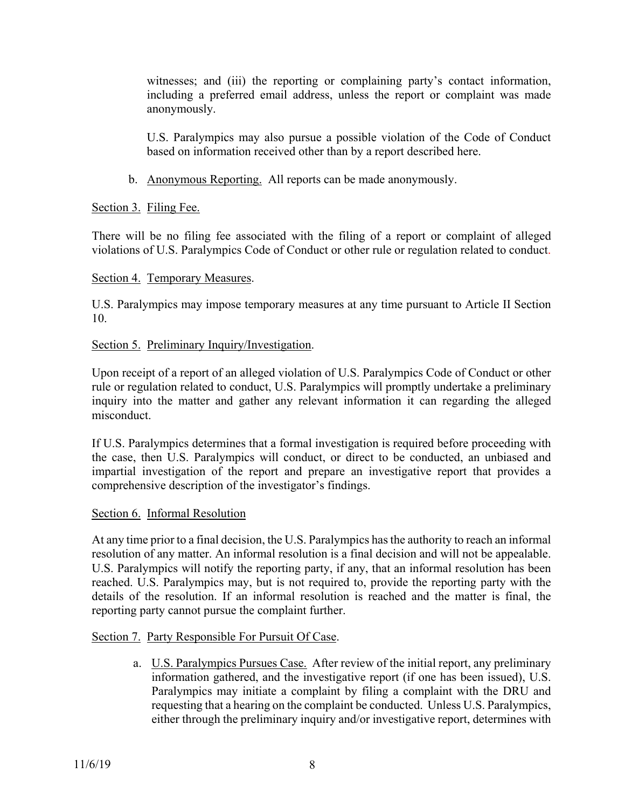witnesses; and (iii) the reporting or complaining party's contact information, including a preferred email address, unless the report or complaint was made anonymously.

U.S. Paralympics may also pursue a possible violation of the Code of Conduct based on information received other than by a report described here.

b. Anonymous Reporting. All reports can be made anonymously.

# Section 3. Filing Fee.

There will be no filing fee associated with the filing of a report or complaint of alleged violations of U.S. Paralympics Code of Conduct or other rule or regulation related to conduct.

## Section 4. Temporary Measures.

U.S. Paralympics may impose temporary measures at any time pursuant to Article II Section 10.

# Section 5. Preliminary Inquiry/Investigation.

Upon receipt of a report of an alleged violation of U.S. Paralympics Code of Conduct or other rule or regulation related to conduct, U.S. Paralympics will promptly undertake a preliminary inquiry into the matter and gather any relevant information it can regarding the alleged misconduct.

If U.S. Paralympics determines that a formal investigation is required before proceeding with the case, then U.S. Paralympics will conduct, or direct to be conducted, an unbiased and impartial investigation of the report and prepare an investigative report that provides a comprehensive description of the investigator's findings.

## Section 6. Informal Resolution

At any time prior to a final decision, the U.S. Paralympics has the authority to reach an informal resolution of any matter. An informal resolution is a final decision and will not be appealable. U.S. Paralympics will notify the reporting party, if any, that an informal resolution has been reached. U.S. Paralympics may, but is not required to, provide the reporting party with the details of the resolution. If an informal resolution is reached and the matter is final, the reporting party cannot pursue the complaint further.

# Section 7. Party Responsible For Pursuit Of Case.

a. U.S. Paralympics Pursues Case. After review of the initial report, any preliminary information gathered, and the investigative report (if one has been issued), U.S. Paralympics may initiate a complaint by filing a complaint with the DRU and requesting that a hearing on the complaint be conducted. Unless U.S. Paralympics, either through the preliminary inquiry and/or investigative report, determines with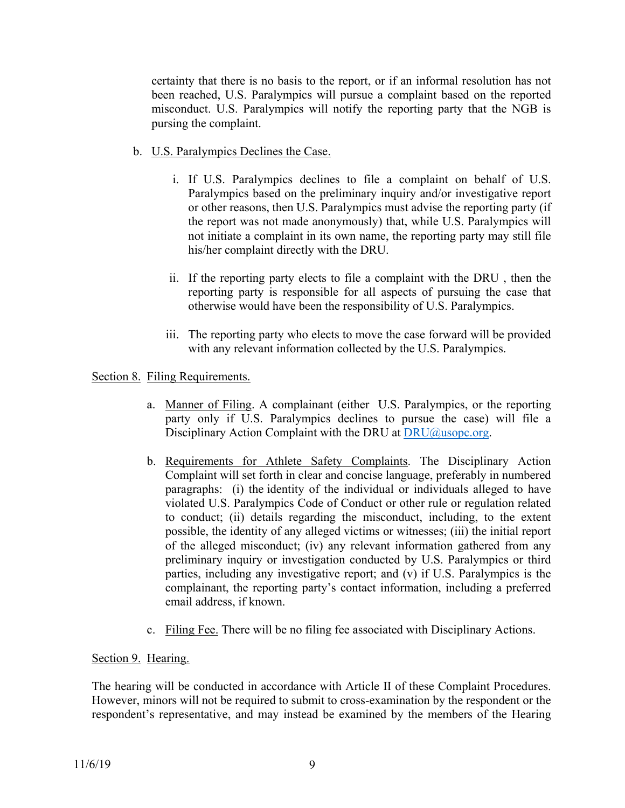certainty that there is no basis to the report, or if an informal resolution has not been reached, U.S. Paralympics will pursue a complaint based on the reported misconduct. U.S. Paralympics will notify the reporting party that the NGB is pursing the complaint.

- b. U.S. Paralympics Declines the Case.
	- i. If U.S. Paralympics declines to file a complaint on behalf of U.S. Paralympics based on the preliminary inquiry and/or investigative report or other reasons, then U.S. Paralympics must advise the reporting party (if the report was not made anonymously) that, while U.S. Paralympics will not initiate a complaint in its own name, the reporting party may still file his/her complaint directly with the DRU.
	- ii. If the reporting party elects to file a complaint with the DRU , then the reporting party is responsible for all aspects of pursuing the case that otherwise would have been the responsibility of U.S. Paralympics.
	- iii. The reporting party who elects to move the case forward will be provided with any relevant information collected by the U.S. Paralympics.

## Section 8. Filing Requirements.

- a. Manner of Filing. A complainant (either U.S. Paralympics, or the reporting party only if U.S. Paralympics declines to pursue the case) will file a Disciplinary Action Complaint with the DRU at [DRU@usopc.org](mailto:DRU@usopc.org).
- b. Requirements for Athlete Safety Complaints. The Disciplinary Action Complaint will set forth in clear and concise language, preferably in numbered paragraphs: (i) the identity of the individual or individuals alleged to have violated U.S. Paralympics Code of Conduct or other rule or regulation related to conduct; (ii) details regarding the misconduct, including, to the extent possible, the identity of any alleged victims or witnesses; (iii) the initial report of the alleged misconduct; (iv) any relevant information gathered from any preliminary inquiry or investigation conducted by U.S. Paralympics or third parties, including any investigative report; and (v) if U.S. Paralympics is the complainant, the reporting party's contact information, including a preferred email address, if known.
- c. Filing Fee. There will be no filing fee associated with Disciplinary Actions.

#### Section 9. Hearing.

The hearing will be conducted in accordance with Article II of these Complaint Procedures. However, minors will not be required to submit to cross-examination by the respondent or the respondent's representative, and may instead be examined by the members of the Hearing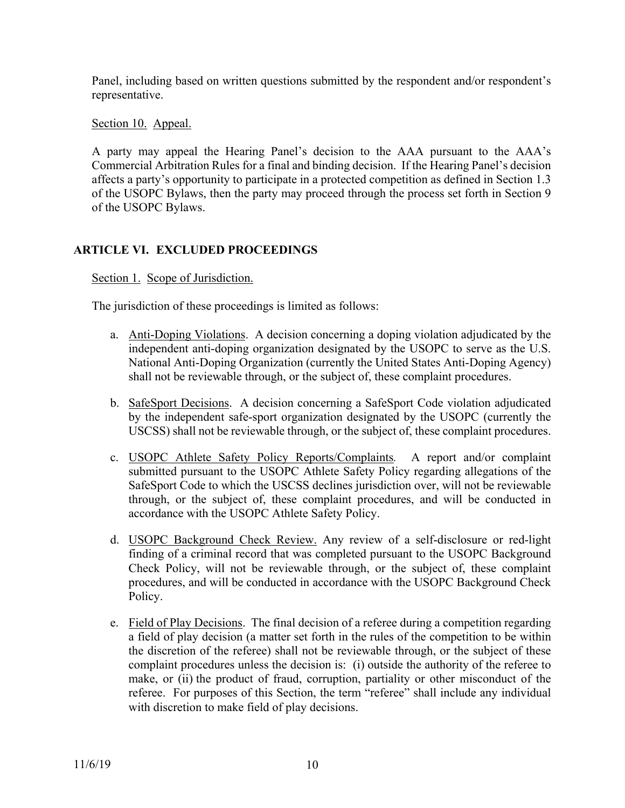Panel, including based on written questions submitted by the respondent and/or respondent's representative.

Section 10. Appeal.

A party may appeal the Hearing Panel's decision to the AAA pursuant to the AAA's Commercial Arbitration Rules for a final and binding decision. If the Hearing Panel's decision affects a party's opportunity to participate in a protected competition as defined in Section 1.3 of the USOPC Bylaws, then the party may proceed through the process set forth in Section 9 of the USOPC Bylaws.

# **ARTICLE VI. EXCLUDED PROCEEDINGS**

Section 1. Scope of Jurisdiction.

The jurisdiction of these proceedings is limited as follows:

- a. Anti-Doping Violations. A decision concerning a doping violation adjudicated by the independent anti-doping organization designated by the USOPC to serve as the U.S. National Anti-Doping Organization (currently the United States Anti-Doping Agency) shall not be reviewable through, or the subject of, these complaint procedures.
- b. SafeSport Decisions. A decision concerning a SafeSport Code violation adjudicated by the independent safe-sport organization designated by the USOPC (currently the USCSS) shall not be reviewable through, or the subject of, these complaint procedures.
- c. USOPC Athlete Safety Policy Reports/Complaints*.* A report and/or complaint submitted pursuant to the USOPC Athlete Safety Policy regarding allegations of the SafeSport Code to which the USCSS declines jurisdiction over, will not be reviewable through, or the subject of, these complaint procedures, and will be conducted in accordance with the USOPC Athlete Safety Policy.
- d. USOPC Background Check Review. Any review of a self-disclosure or red-light finding of a criminal record that was completed pursuant to the USOPC Background Check Policy, will not be reviewable through, or the subject of, these complaint procedures, and will be conducted in accordance with the USOPC Background Check Policy.
- e. Field of Play Decisions. The final decision of a referee during a competition regarding a field of play decision (a matter set forth in the rules of the competition to be within the discretion of the referee) shall not be reviewable through, or the subject of these complaint procedures unless the decision is: (i) outside the authority of the referee to make, or (ii) the product of fraud, corruption, partiality or other misconduct of the referee. For purposes of this Section, the term "referee" shall include any individual with discretion to make field of play decisions.